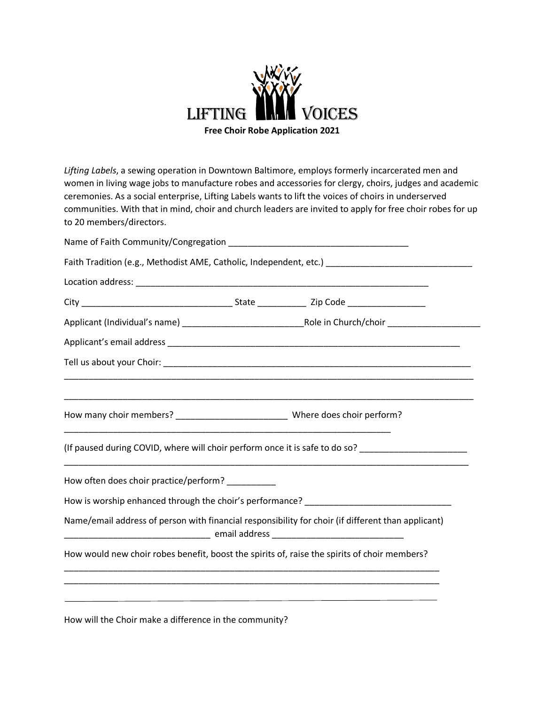

*Lifting Labels*, a sewing operation in Downtown Baltimore, employs formerly incarcerated men and women in living wage jobs to manufacture robes and accessories for clergy, choirs, judges and academic ceremonies. As a social enterprise, Lifting Labels wants to lift the voices of choirs in underserved communities. With that in mind, choir and church leaders are invited to apply for free choir robes for up to 20 members/directors.

|                                                                                                    |  | Faith Tradition (e.g., Methodist AME, Catholic, Independent, etc.) _________________________________                                                                                    |
|----------------------------------------------------------------------------------------------------|--|-----------------------------------------------------------------------------------------------------------------------------------------------------------------------------------------|
|                                                                                                    |  |                                                                                                                                                                                         |
|                                                                                                    |  |                                                                                                                                                                                         |
|                                                                                                    |  |                                                                                                                                                                                         |
|                                                                                                    |  |                                                                                                                                                                                         |
|                                                                                                    |  |                                                                                                                                                                                         |
|                                                                                                    |  |                                                                                                                                                                                         |
|                                                                                                    |  |                                                                                                                                                                                         |
|                                                                                                    |  | (If paused during COVID, where will choir perform once it is safe to do so? _______________________<br>,我们也不能在这里的时候,我们也不能在这里的时候,我们也不能会在这里的时候,我们也不能会在这里的时候,我们也不能会在这里的时候,我们也不能会在这里的时候,我们也 |
| How often does choir practice/perform? _________                                                   |  |                                                                                                                                                                                         |
|                                                                                                    |  | How is worship enhanced through the choir's performance? ________________________                                                                                                       |
| Name/email address of person with financial responsibility for choir (if different than applicant) |  |                                                                                                                                                                                         |
|                                                                                                    |  | How would new choir robes benefit, boost the spirits of, raise the spirits of choir members?                                                                                            |
|                                                                                                    |  |                                                                                                                                                                                         |
|                                                                                                    |  | <u> 1989 - Johann Stoff, amerikansk politiker (* 1908)</u>                                                                                                                              |

How will the Choir make a difference in the community?